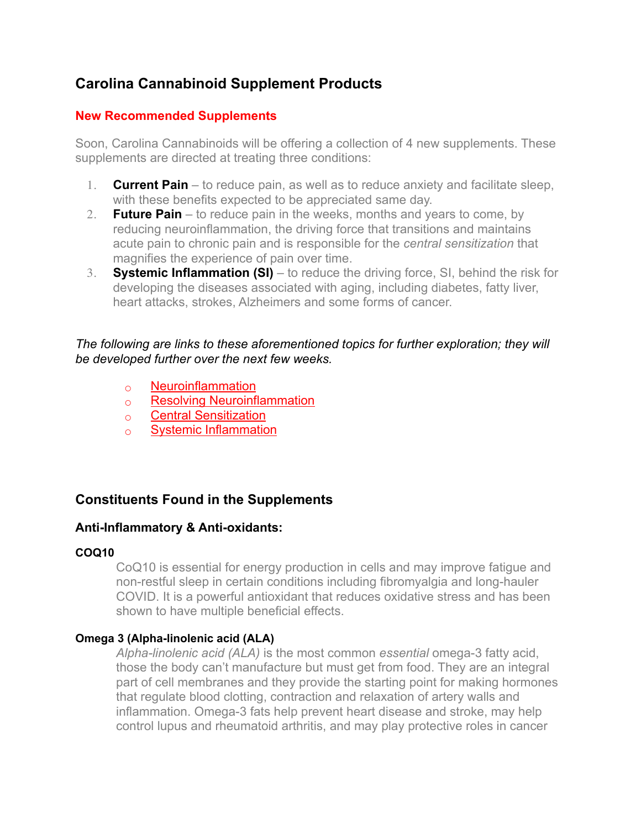# **Carolina Cannabinoid Supplement Products**

# **New Recommended Supplements**

Soon, Carolina Cannabinoids will be offering a collection of 4 new supplements. These supplements are directed at treating three conditions:

- 1. **Current Pain** to reduce pain, as well as to reduce anxiety and facilitate sleep, with these benefits expected to be appreciated same day.
- 2. **Future Pain** to reduce pain in the weeks, months and years to come, by reducing neuroinflammation, the driving force that transitions and maintains acute pain to chronic pain and is responsible for the *central sensitization* that magnifies the experience of pain over time.
- 3. **Systemic Inflammation (SI)** to reduce the driving force, SI, behind the risk for developing the diseases associated with aging, including diabetes, fatty liver, heart attacks, strokes, Alzheimers and some forms of cancer.

*The following are links to these aforementioned topics for further exploration; they will be developed further over the next few weeks.*

- [Neuroinflammation](https://accurateclinic.com/accurate-education-neuroinflammation/)
- [Resolving Neuroinflammation](https://accurateclinic.com/accurate-education-resolving-neuroinflammation/)
- [Central Sensitization](https://accurateclinic.com/accurate-education-central-sensitization-2/)
- [Systemic Inflammation](https://accurateclinic.com/accurate-education-systemic-inflammation/)

# **Constituents Found in the Supplements**

# **Anti-Inflammatory & Anti-oxidants:**

# **COQ10**

CoQ10 is essential for energy production in cells and may improve fatigue and non-restful sleep in certain conditions including fibromyalgia and long-hauler COVID. It is a powerful antioxidant that reduces oxidative stress and has been shown to have multiple beneficial effects.

# **Omega 3 (Alpha-linolenic acid (ALA)**

*Alpha-linolenic acid (ALA)* is the most common *essential* omega-3 fatty acid, those the body can't manufacture but must get from food. They are an integral part of cell membranes and they provide the starting point for making hormones that regulate blood clotting, contraction and relaxation of artery walls and inflammation. Omega-3 fats help prevent heart disease and stroke, may help control lupus and rheumatoid arthritis, and may play protective roles in cancer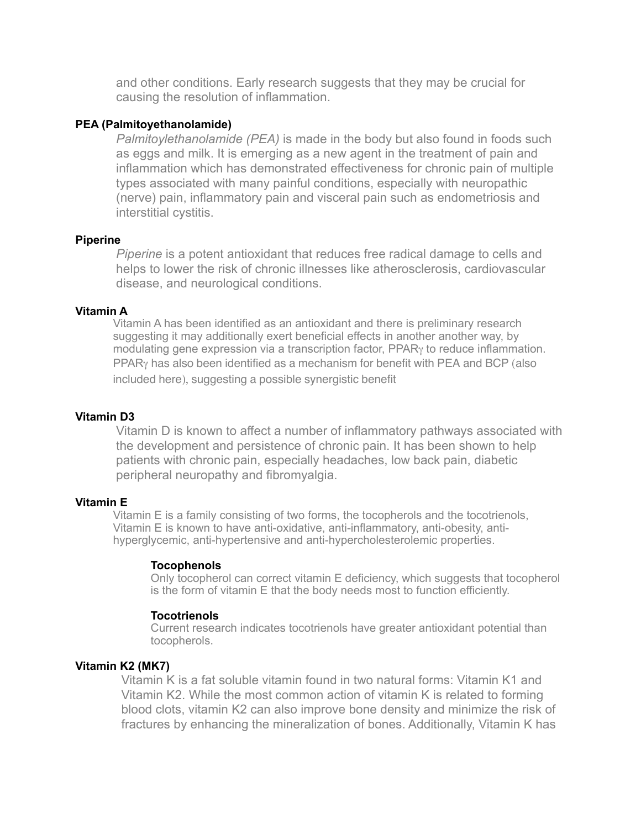and other conditions. Early research suggests that they may be crucial for causing the resolution of inflammation.

#### **PEA (Palmitoyethanolamide)**

*Palmitoylethanolamide (PEA)* is made in the body but also found in foods such as eggs and milk. It is emerging as a new agent in the treatment of pain and inflammation which has demonstrated effectiveness for chronic pain of multiple types associated with many painful conditions, especially with neuropathic (nerve) pain, inflammatory pain and visceral pain such as endometriosis and interstitial cystitis.

#### **Piperine**

*Piperine* is a potent antioxidant that reduces free radical damage to cells and helps to lower the risk of chronic illnesses like atherosclerosis, cardiovascular disease, and neurological conditions.

#### **Vitamin A**

Vitamin A has been identified as an antioxidant and there is preliminary research suggesting it may additionally exert beneficial effects in another another way, by modulating gene expression via a transcription factor, PPARγ to reduce inflammation. PPARγ has also been identified as a mechanism for benefit with PEA and BCP (also included here), suggesting a possible synergistic benefit

#### **Vitamin D3**

Vitamin D is known to affect a number of inflammatory pathways associated with the development and persistence of chronic pain. It has been shown to help patients with chronic pain, especially headaches, low back pain, diabetic peripheral neuropathy and fibromyalgia.

#### **Vitamin E**

Vitamin E is a family consisting of two forms, the tocopherols and the tocotrienols, Vitamin E is known to have anti-oxidative, anti-inflammatory, anti-obesity, antihyperglycemic, anti-hypertensive and anti-hypercholesterolemic properties.

#### **Tocophenols**

Only tocopherol can correct vitamin E deficiency, which suggests that tocopherol is the form of vitamin E that the body needs most to function efficiently.

#### **Tocotrienols**

Current research indicates tocotrienols have greater antioxidant potential than tocopherols.

#### **Vitamin K2 (MK7)**

Vitamin K is a fat soluble vitamin found in two natural forms: Vitamin K1 and Vitamin K2. While the most common action of vitamin K is related to forming blood clots, vitamin K2 can also improve bone density and minimize the risk of fractures by enhancing the mineralization of bones. Additionally, Vitamin K has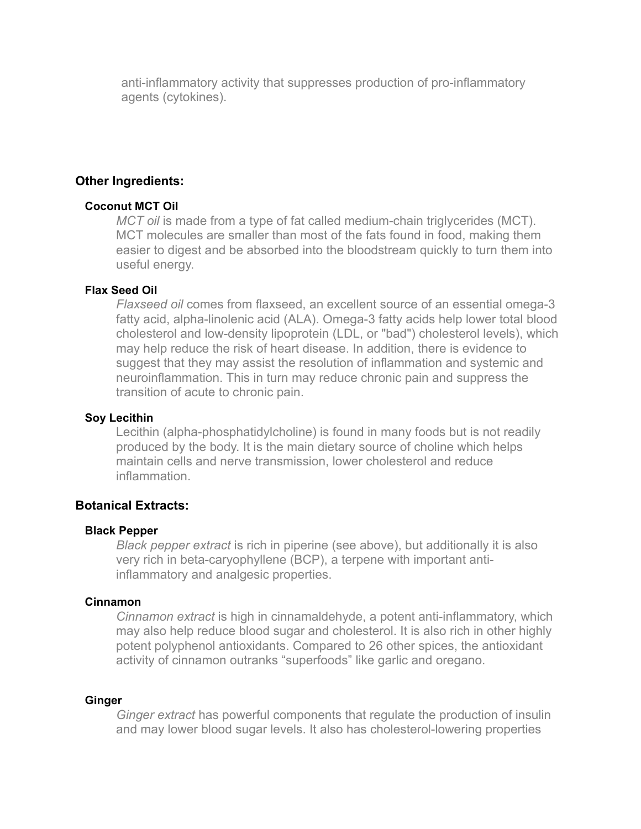anti-inflammatory activity that suppresses production of pro-inflammatory agents (cytokines).

# **Other Ingredients:**

## **Coconut MCT Oil**

*MCT oil* is made from a type of fat called medium-chain triglycerides (MCT). MCT molecules are smaller than most of the fats found in food, making them easier to digest and be absorbed into the bloodstream quickly to turn them into useful energy.

## **Flax Seed Oil**

*Flaxseed oil* comes from flaxseed, an excellent source of an essential omega-3 fatty acid, alpha-linolenic acid (ALA). Omega-3 fatty acids help lower total blood cholesterol and low-density lipoprotein (LDL, or "bad") cholesterol levels), which may help reduce the risk of heart disease. In addition, there is evidence to suggest that they may assist the resolution of inflammation and systemic and neuroinflammation. This in turn may reduce chronic pain and suppress the transition of acute to chronic pain.

## **Soy Lecithin**

Lecithin (alpha-phosphatidylcholine) is found in many foods but is not readily produced by the body. It is the main dietary source of choline which helps maintain cells and nerve transmission, lower cholesterol and reduce inflammation.

# **Botanical Extracts:**

## **Black Pepper**

*Black pepper extract* is rich in piperine (see above), but additionally it is also very rich in beta-caryophyllene (BCP), a terpene with important antiinflammatory and analgesic properties.

## **Cinnamon**

*Cinnamon extract* is high in cinnamaldehyde, a potent anti-inflammatory, which may also help reduce blood sugar and cholesterol. It is also rich in other highly potent polyphenol antioxidants. Compared to 26 other spices, the antioxidant activity of cinnamon outranks "superfoods" like garlic and oregano.

## **Ginger**

*Ginger extract* has powerful components that regulate the production of insulin and may lower blood sugar levels. It also has cholesterol-lowering properties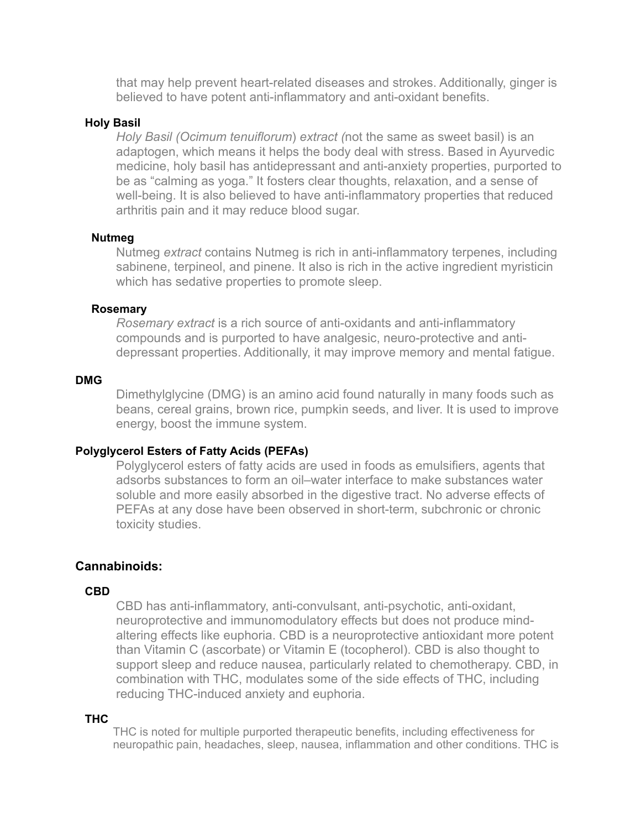that may help prevent heart-related diseases and strokes. Additionally, ginger is believed to have potent anti-inflammatory and anti-oxidant benefits.

## **Holy Basil**

*Holy Basil (Ocimum tenuiflorum*) *extract (*not the same as sweet basil) is an adaptogen, which means it helps the body deal with stress. Based in Ayurvedic medicine, holy basil has antidepressant and anti-anxiety properties, purported to be as "calming as yoga." It fosters clear thoughts, relaxation, and a sense of well-being. It is also believed to have anti-inflammatory properties that reduced arthritis pain and it may reduce blood sugar.

## **Nutmeg**

Nutmeg *extract* contains Nutmeg is rich in anti-inflammatory terpenes, including sabinene, terpineol, and pinene. It also is rich in the active ingredient myristicin which has sedative properties to promote sleep.

## **Rosemary**

*Rosemary extract* is a rich source of anti-oxidants and anti-inflammatory compounds and is purported to have analgesic, neuro-protective and antidepressant properties. Additionally, it may improve memory and mental fatigue.

#### **DMG**

Dimethylglycine (DMG) is an amino acid found naturally in many foods such as beans, cereal grains, brown rice, pumpkin seeds, and liver. It is used to improve energy, boost the immune system.

## **Polyglycerol Esters of Fatty Acids (PEFAs)**

Polyglycerol esters of fatty acids are used in foods as emulsifiers, agents that adsorbs substances to form an oil–water interface to make substances water soluble and more easily absorbed in the digestive tract. No adverse effects of PEFAs at any dose have been observed in short-term, subchronic or chronic toxicity studies.

# **Cannabinoids:**

#### **CBD**

CBD has anti-inflammatory, anti-convulsant, anti-psychotic, anti-oxidant, neuroprotective and immunomodulatory effects but does not produce mindaltering effects like euphoria. CBD is a neuroprotective antioxidant more potent than Vitamin C (ascorbate) or Vitamin E (tocopherol). CBD is also thought to support sleep and reduce nausea, particularly related to chemotherapy. CBD, in combination with THC, modulates some of the side effects of THC, including reducing THC-induced anxiety and euphoria.

## **THC**

THC is noted for multiple purported therapeutic benefits, including effectiveness for neuropathic pain, headaches, sleep, nausea, inflammation and other conditions. THC is